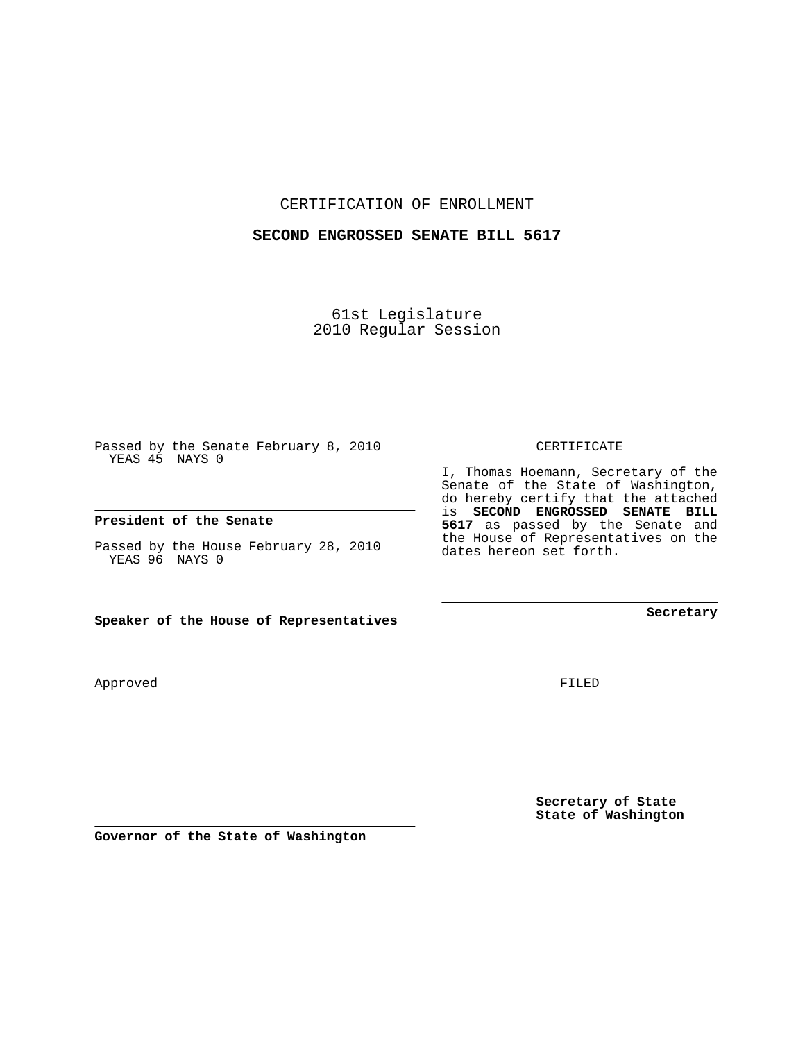CERTIFICATION OF ENROLLMENT

## **SECOND ENGROSSED SENATE BILL 5617**

61st Legislature 2010 Regular Session

Passed by the Senate February 8, 2010 YEAS 45 NAYS 0

**President of the Senate**

Passed by the House February 28, 2010 YEAS 96 NAYS 0

**Speaker of the House of Representatives**

Approved

FILED

**Secretary of State State of Washington**

**Governor of the State of Washington**

CERTIFICATE

I, Thomas Hoemann, Secretary of the Senate of the State of Washington, do hereby certify that the attached is **SECOND ENGROSSED SENATE BILL 5617** as passed by the Senate and the House of Representatives on the dates hereon set forth.

**Secretary**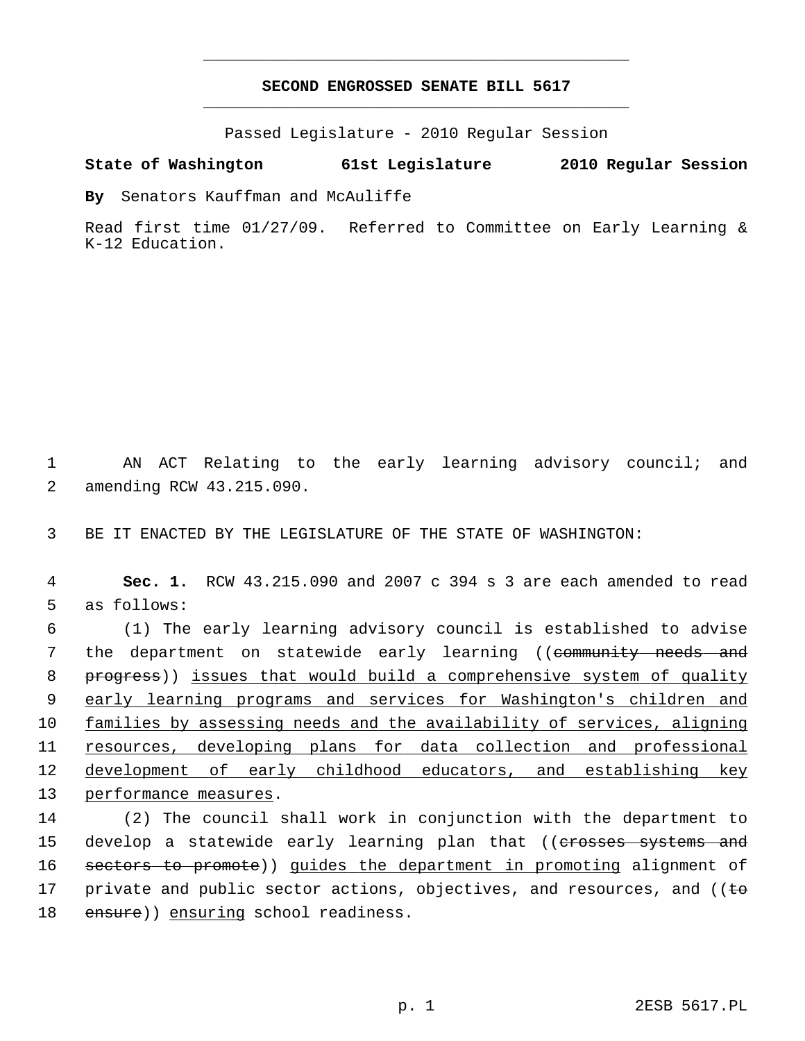## **SECOND ENGROSSED SENATE BILL 5617** \_\_\_\_\_\_\_\_\_\_\_\_\_\_\_\_\_\_\_\_\_\_\_\_\_\_\_\_\_\_\_\_\_\_\_\_\_\_\_\_\_\_\_\_\_

\_\_\_\_\_\_\_\_\_\_\_\_\_\_\_\_\_\_\_\_\_\_\_\_\_\_\_\_\_\_\_\_\_\_\_\_\_\_\_\_\_\_\_\_\_

Passed Legislature - 2010 Regular Session

## **State of Washington 61st Legislature 2010 Regular Session**

**By** Senators Kauffman and McAuliffe

Read first time 01/27/09. Referred to Committee on Early Learning & K-12 Education.

 1 AN ACT Relating to the early learning advisory council; and 2 amending RCW 43.215.090.

3 BE IT ENACTED BY THE LEGISLATURE OF THE STATE OF WASHINGTON:

 4 **Sec. 1.** RCW 43.215.090 and 2007 c 394 s 3 are each amended to read 5 as follows:

 6 (1) The early learning advisory council is established to advise 7 the department on statewide early learning ((community needs and 8 progress)) issues that would build a comprehensive system of quality 9 early learning programs and services for Washington's children and 10 families by assessing needs and the availability of services, aligning 11 resources, developing plans for data collection and professional 12 development of early childhood educators, and establishing key 13 performance measures.

14 (2) The council shall work in conjunction with the department to 15 develop a statewide early learning plan that ((erosses systems and 16 sectors to promote)) guides the department in promoting alignment of 17 private and public sector actions, objectives, and resources, and ( $\epsilon$ 18 ensure)) ensuring school readiness.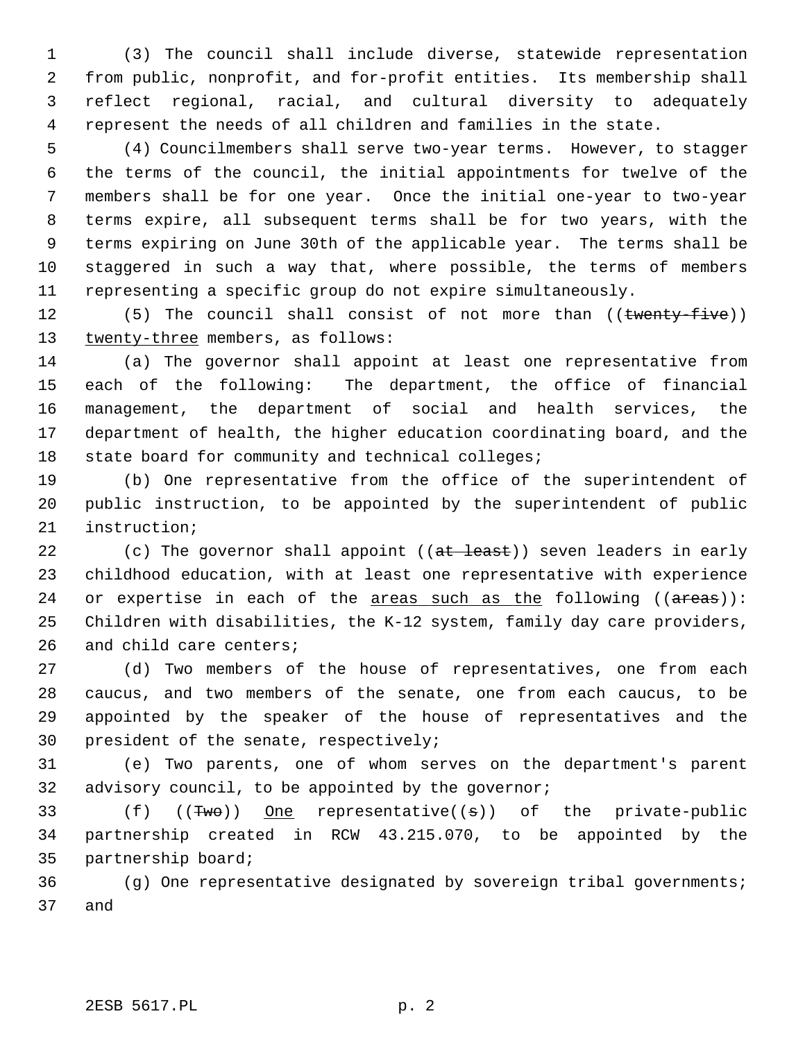1 (3) The council shall include diverse, statewide representation 2 from public, nonprofit, and for-profit entities. Its membership shall 3 reflect regional, racial, and cultural diversity to adequately 4 represent the needs of all children and families in the state.

 5 (4) Councilmembers shall serve two-year terms. However, to stagger 6 the terms of the council, the initial appointments for twelve of the 7 members shall be for one year. Once the initial one-year to two-year 8 terms expire, all subsequent terms shall be for two years, with the 9 terms expiring on June 30th of the applicable year. The terms shall be 10 staggered in such a way that, where possible, the terms of members 11 representing a specific group do not expire simultaneously.

12 (5) The council shall consist of not more than ((twenty-five)) 13 twenty-three members, as follows:

14 (a) The governor shall appoint at least one representative from 15 each of the following: The department, the office of financial 16 management, the department of social and health services, the 17 department of health, the higher education coordinating board, and the 18 state board for community and technical colleges;

19 (b) One representative from the office of the superintendent of 20 public instruction, to be appointed by the superintendent of public 21 instruction;

22 (c) The governor shall appoint  $((at - least))$  seven leaders in early 23 childhood education, with at least one representative with experience 24 or expertise in each of the areas such as the following  $((\text{areas}))$ : 25 Children with disabilities, the K-12 system, family day care providers, 26 and child care centers;

27 (d) Two members of the house of representatives, one from each 28 caucus, and two members of the senate, one from each caucus, to be 29 appointed by the speaker of the house of representatives and the 30 president of the senate, respectively;

31 (e) Two parents, one of whom serves on the department's parent 32 advisory council, to be appointed by the governor;

33 (f) ((Two)) One representative((s)) of the private-public 34 partnership created in RCW 43.215.070, to be appointed by the 35 partnership board;

36 (g) One representative designated by sovereign tribal governments; 37 and